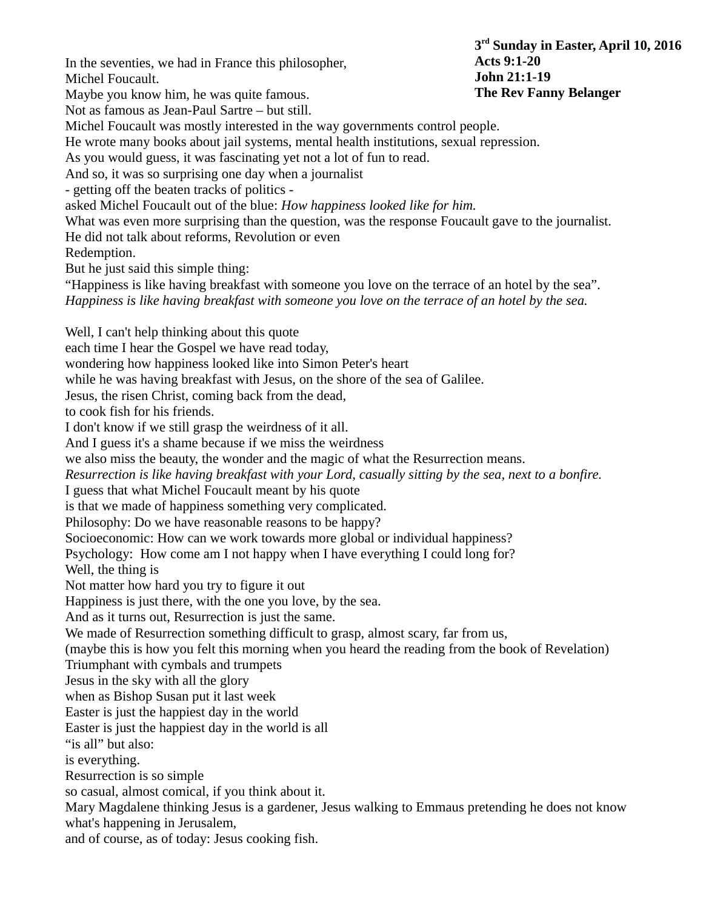In the seventies, we had in France this philosopher, Michel Foucault. Maybe you know him, he was quite famous. Not as famous as Jean-Paul Sartre – but still. Michel Foucault was mostly interested in the way governments control people. He wrote many books about jail systems, mental health institutions, sexual repression. As you would guess, it was fascinating yet not a lot of fun to read. And so, it was so surprising one day when a journalist - getting off the beaten tracks of politics asked Michel Foucault out of the blue: *How happiness looked like for him.* What was even more surprising than the question, was the response Foucault gave to the journalist. He did not talk about reforms, Revolution or even Redemption. But he just said this simple thing: "Happiness is like having breakfast with someone you love on the terrace of an hotel by the sea". *Happiness is like having breakfast with someone you love on the terrace of an hotel by the sea.* Well, I can't help thinking about this quote each time I hear the Gospel we have read today, wondering how happiness looked like into Simon Peter's heart while he was having breakfast with Jesus, on the shore of the sea of Galilee. Jesus, the risen Christ, coming back from the dead, to cook fish for his friends. I don't know if we still grasp the weirdness of it all. And I guess it's a shame because if we miss the weirdness we also miss the beauty, the wonder and the magic of what the Resurrection means. *Resurrection is like having breakfast with your Lord, casually sitting by the sea, next to a bonfire.* I guess that what Michel Foucault meant by his quote is that we made of happiness something very complicated. Philosophy: Do we have reasonable reasons to be happy? Socioeconomic: How can we work towards more global or individual happiness? Psychology: How come am I not happy when I have everything I could long for? Well, the thing is Not matter how hard you try to figure it out Happiness is just there, with the one you love, by the sea. And as it turns out, Resurrection is just the same. We made of Resurrection something difficult to grasp, almost scary, far from us, (maybe this is how you felt this morning when you heard the reading from the book of Revelation) Triumphant with cymbals and trumpets Jesus in the sky with all the glory when as Bishop Susan put it last week Easter is just the happiest day in the world Easter is just the happiest day in the world is all "is all" but also: is everything. Resurrection is so simple so casual, almost comical, if you think about it. Mary Magdalene thinking Jesus is a gardener, Jesus walking to Emmaus pretending he does not know what's happening in Jerusalem, and of course, as of today: Jesus cooking fish. **3 rd Sunday in Easter, April 10, 2016 Acts 9:1-20 John 21:1-19 The Rev Fanny Belanger**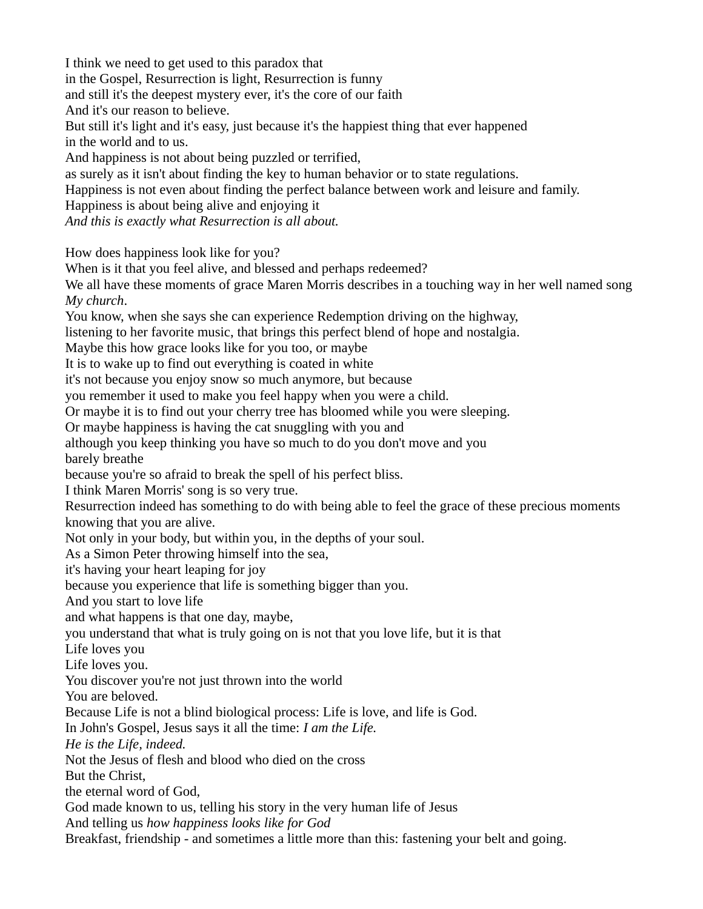I think we need to get used to this paradox that in the Gospel, Resurrection is light, Resurrection is funny and still it's the deepest mystery ever, it's the core of our faith And it's our reason to believe. But still it's light and it's easy, just because it's the happiest thing that ever happened in the world and to us. And happiness is not about being puzzled or terrified, as surely as it isn't about finding the key to human behavior or to state regulations. Happiness is not even about finding the perfect balance between work and leisure and family. Happiness is about being alive and enjoying it *And this is exactly what Resurrection is all about.* How does happiness look like for you? When is it that you feel alive, and blessed and perhaps redeemed? We all have these moments of grace Maren Morris describes in a touching way in her well named song *My church*. You know, when she says she can experience Redemption driving on the highway, listening to her favorite music, that brings this perfect blend of hope and nostalgia. Maybe this how grace looks like for you too, or maybe It is to wake up to find out everything is coated in white it's not because you enjoy snow so much anymore, but because you remember it used to make you feel happy when you were a child. Or maybe it is to find out your cherry tree has bloomed while you were sleeping. Or maybe happiness is having the cat snuggling with you and although you keep thinking you have so much to do you don't move and you barely breathe because you're so afraid to break the spell of his perfect bliss. I think Maren Morris' song is so very true. Resurrection indeed has something to do with being able to feel the grace of these precious moments knowing that you are alive. Not only in your body, but within you, in the depths of your soul. As a Simon Peter throwing himself into the sea, it's having your heart leaping for joy because you experience that life is something bigger than you. And you start to love life and what happens is that one day, maybe, you understand that what is truly going on is not that you love life, but it is that Life loves you Life loves you. You discover you're not just thrown into the world You are beloved. Because Life is not a blind biological process: Life is love, and life is God. In John's Gospel, Jesus says it all the time: *I am the Life. He is the Life, indeed.* Not the Jesus of flesh and blood who died on the cross But the Christ, the eternal word of God, God made known to us, telling his story in the very human life of Jesus And telling us *how happiness looks like for God* Breakfast, friendship - and sometimes a little more than this: fastening your belt and going.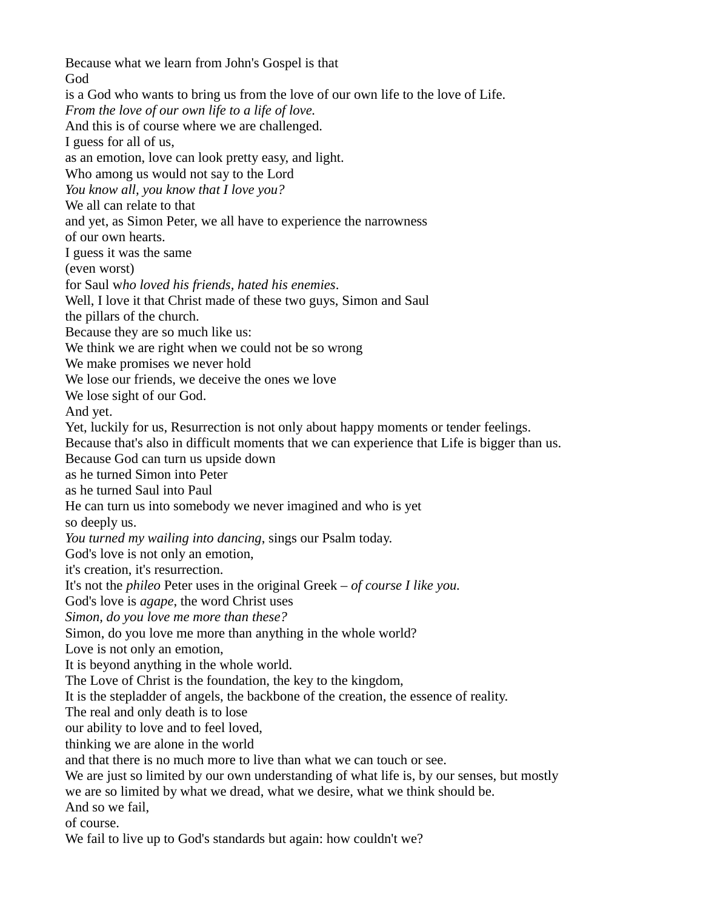Because what we learn from John's Gospel is that God is a God who wants to bring us from the love of our own life to the love of Life. *From the love of our own life to a life of love.* And this is of course where we are challenged. I guess for all of us, as an emotion, love can look pretty easy, and light. Who among us would not say to the Lord *You know all, you know that I love you?* We all can relate to that and yet, as Simon Peter, we all have to experience the narrowness of our own hearts. I guess it was the same (even worst) for Saul w*ho loved his friends, hated his enemies*. Well, I love it that Christ made of these two guys, Simon and Saul the pillars of the church. Because they are so much like us: We think we are right when we could not be so wrong We make promises we never hold We lose our friends, we deceive the ones we love We lose sight of our God. And yet. Yet, luckily for us, Resurrection is not only about happy moments or tender feelings. Because that's also in difficult moments that we can experience that Life is bigger than us. Because God can turn us upside down as he turned Simon into Peter as he turned Saul into Paul He can turn us into somebody we never imagined and who is yet so deeply us. *You turned my wailing into dancing*, sings our Psalm today. God's love is not only an emotion, it's creation, it's resurrection. It's not the *phileo* Peter uses in the original Greek – *of course I like you.* God's love is *agape*, the word Christ uses *Simon, do you love me more than these?* Simon, do you love me more than anything in the whole world? Love is not only an emotion, It is beyond anything in the whole world. The Love of Christ is the foundation, the key to the kingdom, It is the stepladder of angels, the backbone of the creation, the essence of reality. The real and only death is to lose our ability to love and to feel loved, thinking we are alone in the world and that there is no much more to live than what we can touch or see. We are just so limited by our own understanding of what life is, by our senses, but mostly we are so limited by what we dread, what we desire, what we think should be. And so we fail, of course. We fail to live up to God's standards but again: how couldn't we?